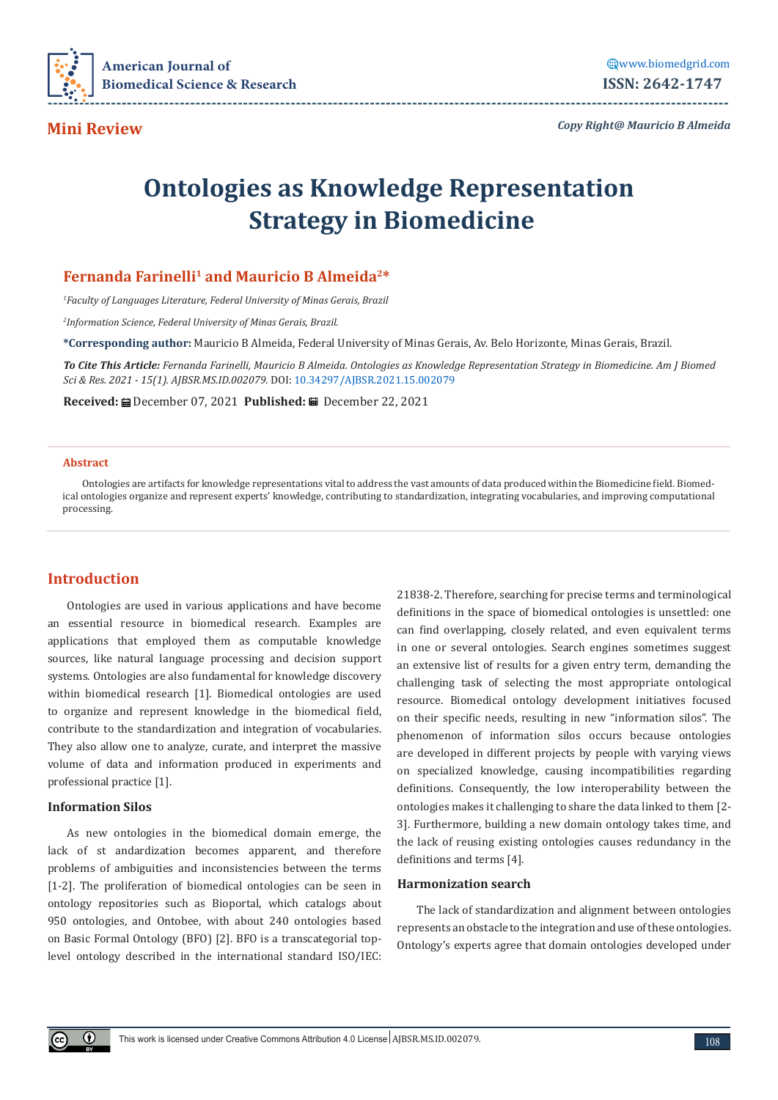

**Mini Review** 

*Copy Right@ Mauricio B Almeida*

# **Ontologies as Knowledge Representation Strategy in Biomedicine**

# **Fernanda Farinelli1 and Mauricio B Almeida2\***

*1 Faculty of Languages Literature, Federal University of Minas Gerais, Brazil*

*2 Information Science, Federal University of Minas Gerais, Brazil.*

**\*Corresponding author:** Mauricio B Almeida, Federal University of Minas Gerais, Av. Belo Horizonte, Minas Gerais, Brazil.

To Cite This Article: Fernanda Farinelli, Mauricio B Almeida. Ontologies as Knowledge Representation Strategy in Biomedicine. Am J Biomed *Sci & Res. 2021 - 15(1). AJBSR.MS.ID.002079.* DOI: [10.34297/AJBSR.2021.15.002079](http://dx.doi.org/10.34297/AJBSR.2021.15.002079)

**Received:** December 07, 2021 **Published:** December 22, 2021

#### **Abstract**

Ontologies are artifacts for knowledge representations vital to address the vast amounts of data produced within the Biomedicine field. Biomedical ontologies organize and represent experts' knowledge, contributing to standardization, integrating vocabularies, and improving computational processing.

# **Introduction**

Ontologies are used in various applications and have become an essential resource in biomedical research. Examples are applications that employed them as computable knowledge sources, like natural language processing and decision support systems. Ontologies are also fundamental for knowledge discovery within biomedical research [1]. Biomedical ontologies are used to organize and represent knowledge in the biomedical field, contribute to the standardization and integration of vocabularies. They also allow one to analyze, curate, and interpret the massive volume of data and information produced in experiments and professional practice [1].

## **Information Silos**

As new ontologies in the biomedical domain emerge, the lack of st andardization becomes apparent, and therefore problems of ambiguities and inconsistencies between the terms [1-2]. The proliferation of biomedical ontologies can be seen in ontology repositories such as Bioportal, which catalogs about 950 ontologies, and Ontobee, with about 240 ontologies based on Basic Formal Ontology (BFO) [2]. BFO is a transcategorial toplevel ontology described in the international standard ISO/IEC: 21838-2. Therefore, searching for precise terms and terminological definitions in the space of biomedical ontologies is unsettled: one can find overlapping, closely related, and even equivalent terms in one or several ontologies. Search engines sometimes suggest an extensive list of results for a given entry term, demanding the challenging task of selecting the most appropriate ontological resource. Biomedical ontology development initiatives focused on their specific needs, resulting in new "information silos". The phenomenon of information silos occurs because ontologies are developed in different projects by people with varying views on specialized knowledge, causing incompatibilities regarding definitions. Consequently, the low interoperability between the ontologies makes it challenging to share the data linked to them [2- 3]. Furthermore, building a new domain ontology takes time, and the lack of reusing existing ontologies causes redundancy in the definitions and terms [4].

#### **Harmonization search**

The lack of standardization and alignment between ontologies represents an obstacle to the integration and use of these ontologies. Ontology's experts agree that domain ontologies developed under